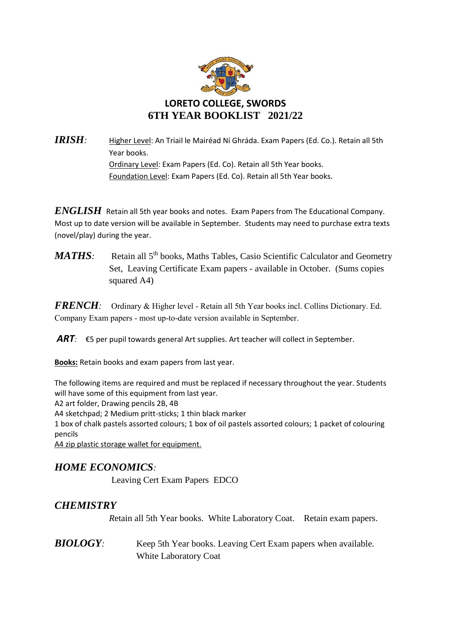

*IRISH:* Higher Level: An Triail le Mairéad Ní Ghráda. Exam Papers (Ed. Co.). Retain all 5th Year books. Ordinary Level: Exam Papers (Ed. Co). Retain all 5th Year books. Foundation Level: Exam Papers (Ed. Co). Retain all 5th Year books.

*ENGLISH* Retain all 5th year books and notes. Exam Papers from The Educational Company. Most up to date version will be available in September. Students may need to purchase extra texts (novel/play) during the year.

*MATHS*: Retain all 5<sup>th</sup> books, Maths Tables, Casio Scientific Calculator and Geometry Set, Leaving Certificate Exam papers - available in October. (Sums copies squared A4)

*FRENCH:* Ordinary & Higher level - Retain all 5th Year books incl. Collins Dictionary. Ed. Company Exam papers - most up-to-date version available in September.

*ART:* €5 per pupil towards general Art supplies. Art teacher will collect in September.

**Books:** Retain books and exam papers from last year.

The following items are required and must be replaced if necessary throughout the year. Students will have some of this equipment from last year.

A2 art folder, Drawing pencils 2B, 4B

A4 sketchpad; 2 Medium pritt-sticks; 1 thin black marker

1 box of chalk pastels assorted colours; 1 box of oil pastels assorted colours; 1 packet of colouring pencils

A4 zip plastic storage wallet for equipment.

### *HOME ECONOMICS:*

Leaving Cert Exam Papers EDCO

## *CHEMISTRY*

*R*etain all 5th Year books. White Laboratory Coat. Retain exam papers.

**BIOLOGY**: Keep 5th Year books. Leaving Cert Exam papers when available. White Laboratory Coat